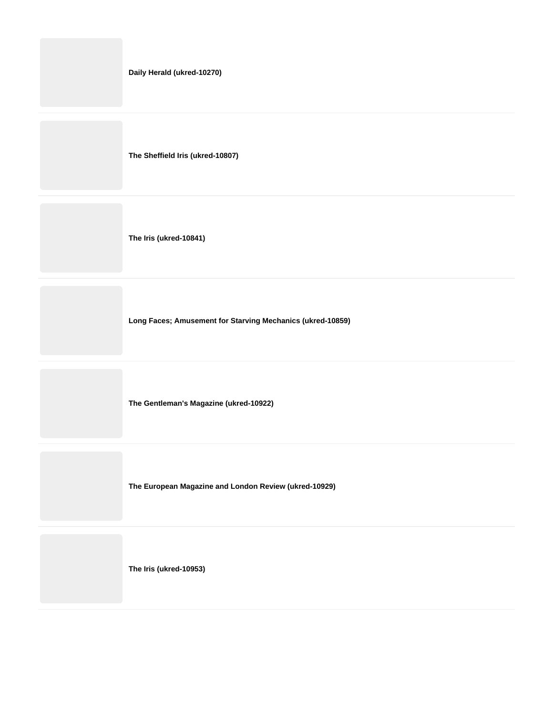| Daily Herald (ukred-10270)                                 |
|------------------------------------------------------------|
| The Sheffield Iris (ukred-10807)                           |
| The Iris (ukred-10841)                                     |
| Long Faces; Amusement for Starving Mechanics (ukred-10859) |
| The Gentleman's Magazine (ukred-10922)                     |
| The European Magazine and London Review (ukred-10929)      |
| The Iris (ukred-10953)                                     |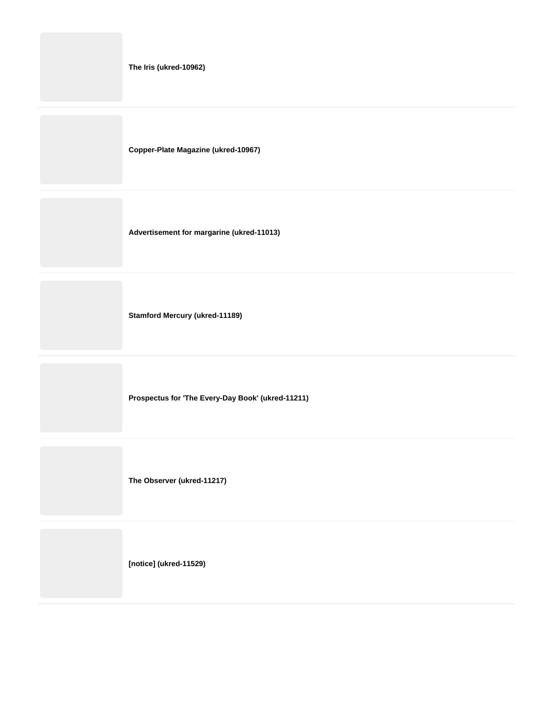**The Iris (ukred-10962)**

**Copper-Plate Magazine (ukred-10967)**

**Advertisement for margarine (ukred-11013)**

**Stamford Mercury (ukred-11189)**

**Prospectus for 'The Every-Day Book' (ukred-11211)**

**The Observer (ukred-11217)**

**[notice] (ukred-11529)**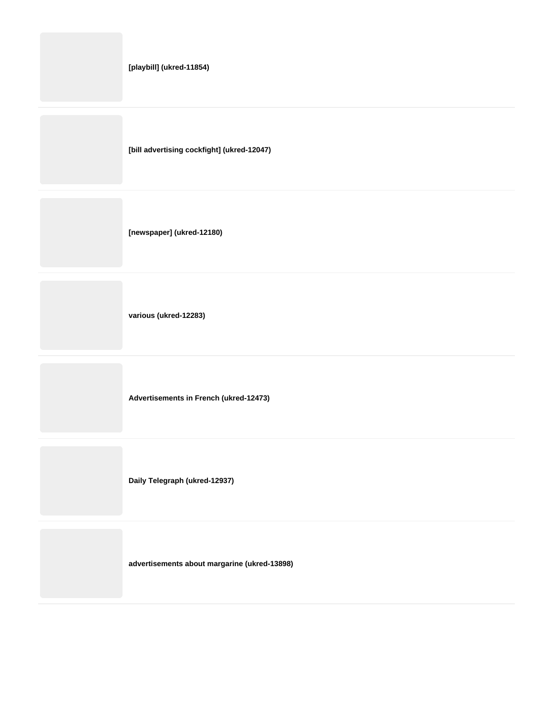**advertisements about margarine (ukred-13898)**

**Daily Telegraph (ukred-12937)**

**Advertisements in French (ukred-12473)**

**various (ukred-12283)**

**[newspaper] (ukred-12180)**

**[bill advertising cockfight] (ukred-12047)**

**[playbill] (ukred-11854)**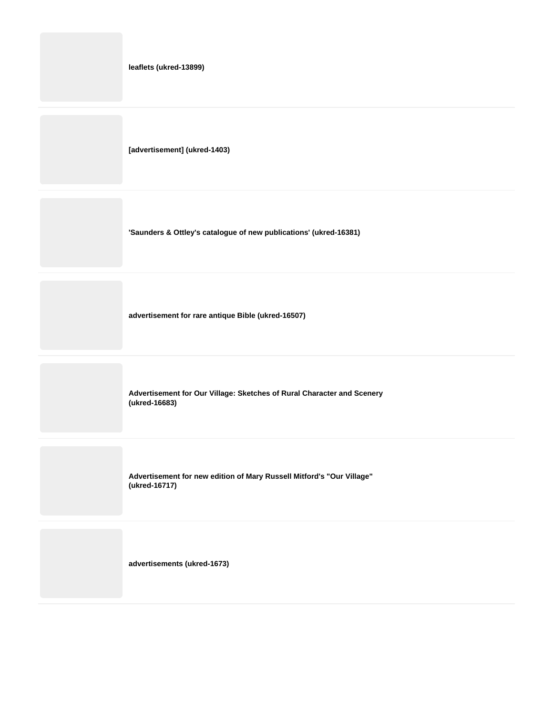**leaflets (ukred-13899)**

**[advertisement] (ukred-1403)**

**'Saunders & Ottley's catalogue of new publications' (ukred-16381)**

**advertisement for rare antique Bible (ukred-16507)**

**Advertisement for Our Village: Sketches of Rural Character and Scenery (ukred-16683)**

**Advertisement for new edition of Mary Russell Mitford's "Our Village" (ukred-16717)**

**advertisements (ukred-1673)**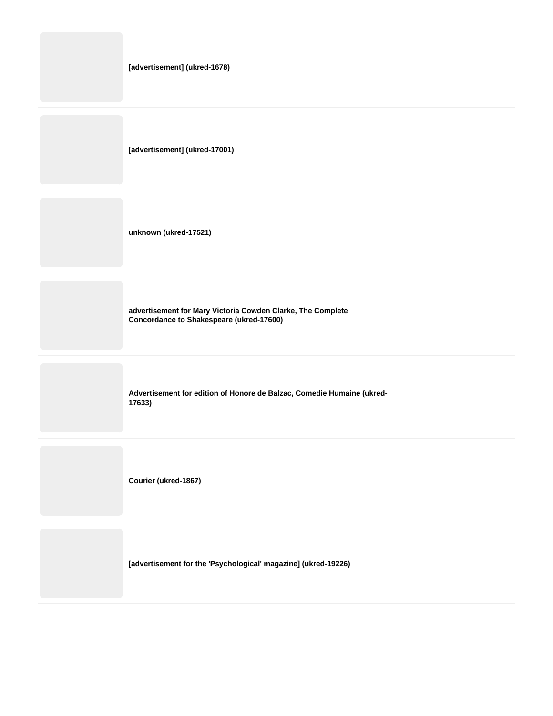| [advertisement] (ukred-1678)                                                                            |
|---------------------------------------------------------------------------------------------------------|
| [advertisement] (ukred-17001)                                                                           |
| unknown (ukred-17521)                                                                                   |
| advertisement for Mary Victoria Cowden Clarke, The Complete<br>Concordance to Shakespeare (ukred-17600) |
| Advertisement for edition of Honore de Balzac, Comedie Humaine (ukred-<br>17633)                        |
| Courier (ukred-1867)                                                                                    |

**[advertisement for the 'Psychological' magazine] (ukred-19226)**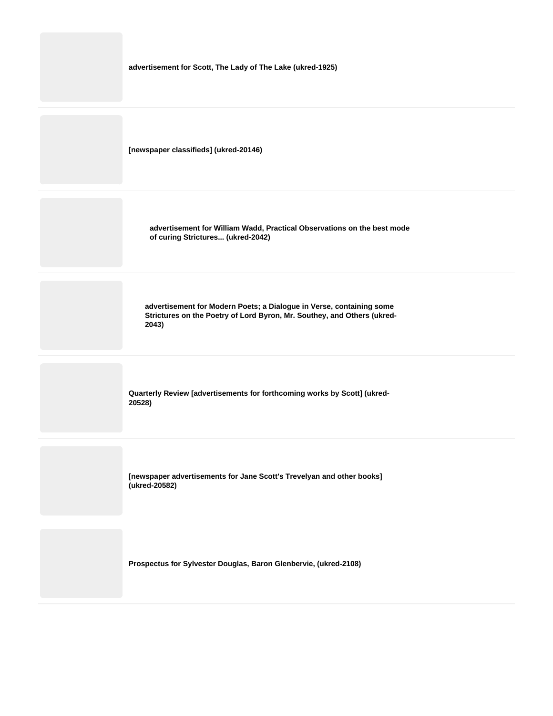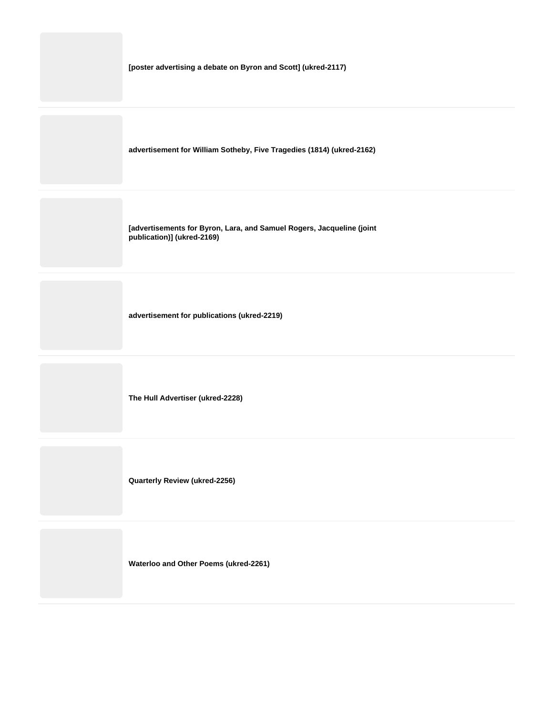| [poster advertising a debate on Byron and Scott] (ukred-2117) |  |
|---------------------------------------------------------------|--|
|                                                               |  |

**advertisement for William Sotheby, Five Tragedies (1814) (ukred-2162)**

**[advertisements for Byron, Lara, and Samuel Rogers, Jacqueline (joint publication)] (ukred-2169)**

**advertisement for publications (ukred-2219)**

**The Hull Advertiser (ukred-2228)**

**Quarterly Review (ukred-2256)**

**Waterloo and Other Poems (ukred-2261)**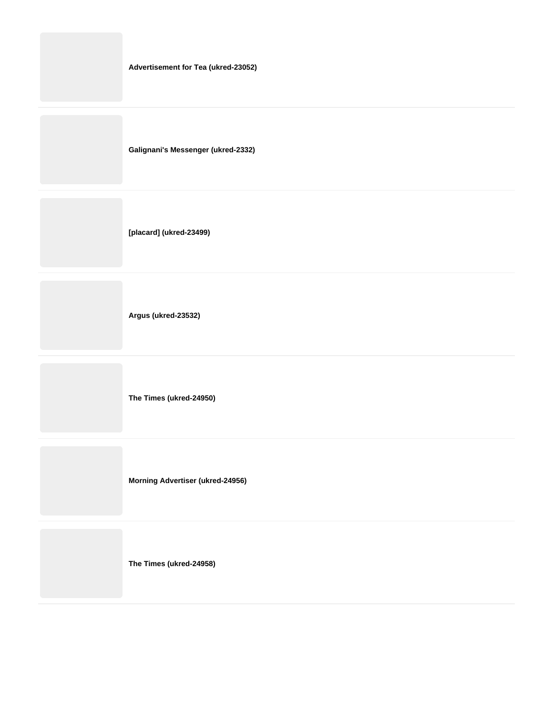**Galignani's Messenger (ukred-2332)**

**[placard] (ukred-23499)**

**Argus (ukred-23532)**

**The Times (ukred-24950)**

**Morning Advertiser (ukred-24956)**

**The Times (ukred-24958)**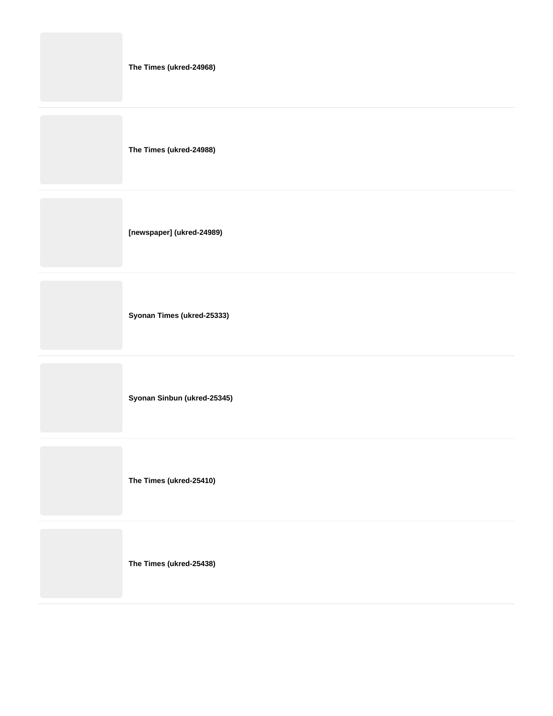|  |  | The Times (ukred-24968) |
|--|--|-------------------------|
|--|--|-------------------------|

**The Times (ukred-24988)**

**[newspaper] (ukred-24989)**

**Syonan Times (ukred-25333)**

**Syonan Sinbun (ukred-25345)**

**The Times (ukred-25410)**

**The Times (ukred-25438)**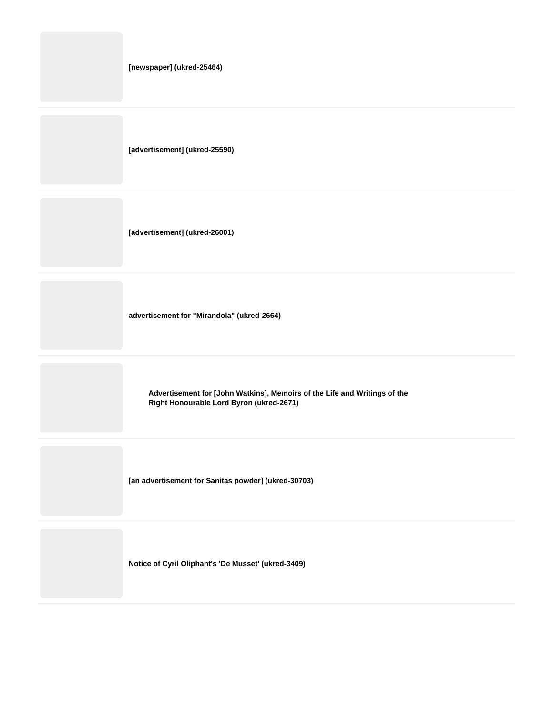|  | [newspaper] (ukred-25464) |
|--|---------------------------|
|--|---------------------------|

**[advertisement] (ukred-25590)**

**[advertisement] (ukred-26001)**

**advertisement for "Mirandola" (ukred-2664)**

**Advertisement for [John Watkins], Memoirs of the Life and Writings of the Right Honourable Lord Byron (ukred-2671)**

**[an advertisement for Sanitas powder] (ukred-30703)**

**Notice of Cyril Oliphant's 'De Musset' (ukred-3409)**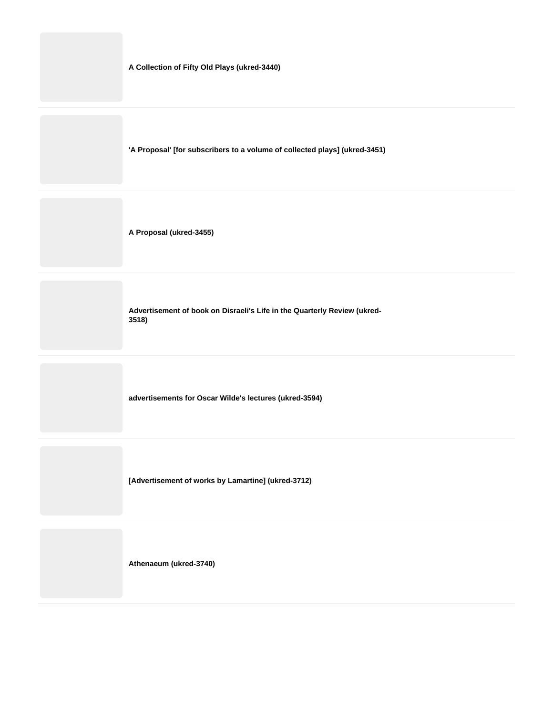**A Collection of Fifty Old Plays (ukred-3440)**

**'A Proposal' [for subscribers to a volume of collected plays] (ukred-3451)**

**A Proposal (ukred-3455)**

**Advertisement of book on Disraeli's Life in the Quarterly Review (ukred-3518)**

**advertisements for Oscar Wilde's lectures (ukred-3594)**

**[Advertisement of works by Lamartine] (ukred-3712)**

**Athenaeum (ukred-3740)**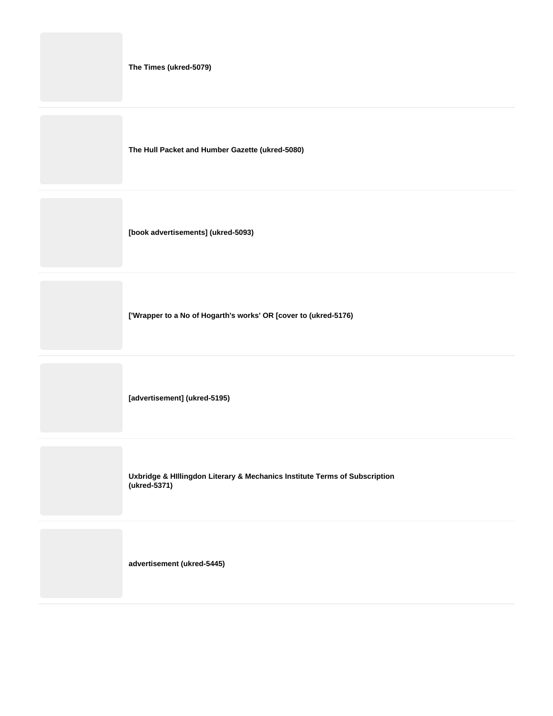**The Times (ukred-5079)**

**The Hull Packet and Humber Gazette (ukred-5080)**

**[book advertisements] (ukred-5093)**

**['Wrapper to a No of Hogarth's works' OR [cover to (ukred-5176)**

**[advertisement] (ukred-5195)**

**Uxbridge & HIllingdon Literary & Mechanics Institute Terms of Subscription (ukred-5371)**

**advertisement (ukred-5445)**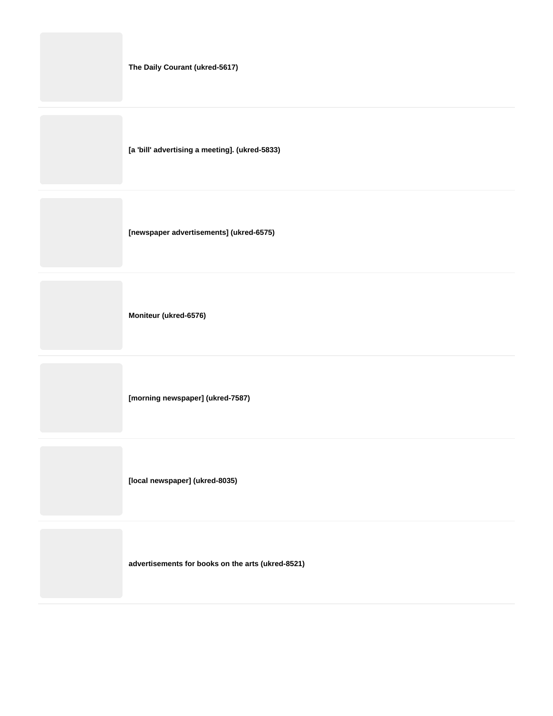**The Daily Courant (ukred-5617)**

**[a 'bill' advertising a meeting]. (ukred-5833)**

**[newspaper advertisements] (ukred-6575)**

**Moniteur (ukred-6576)**

**[morning newspaper] (ukred-7587)**

**[local newspaper] (ukred-8035)**

**advertisements for books on the arts (ukred-8521)**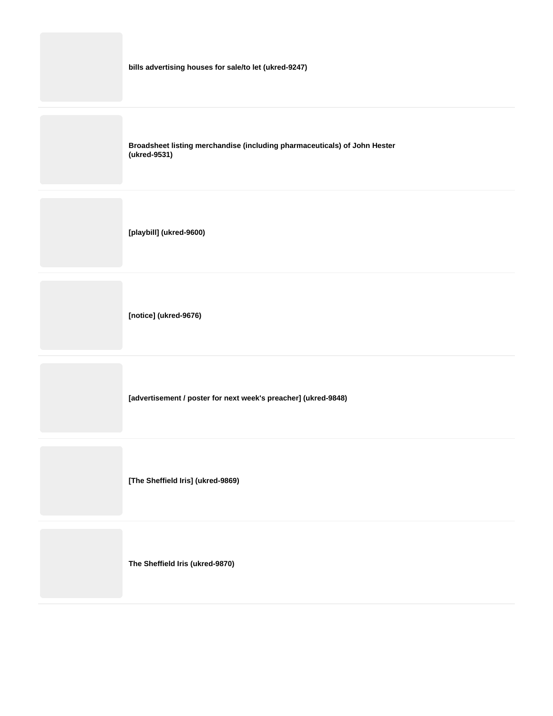